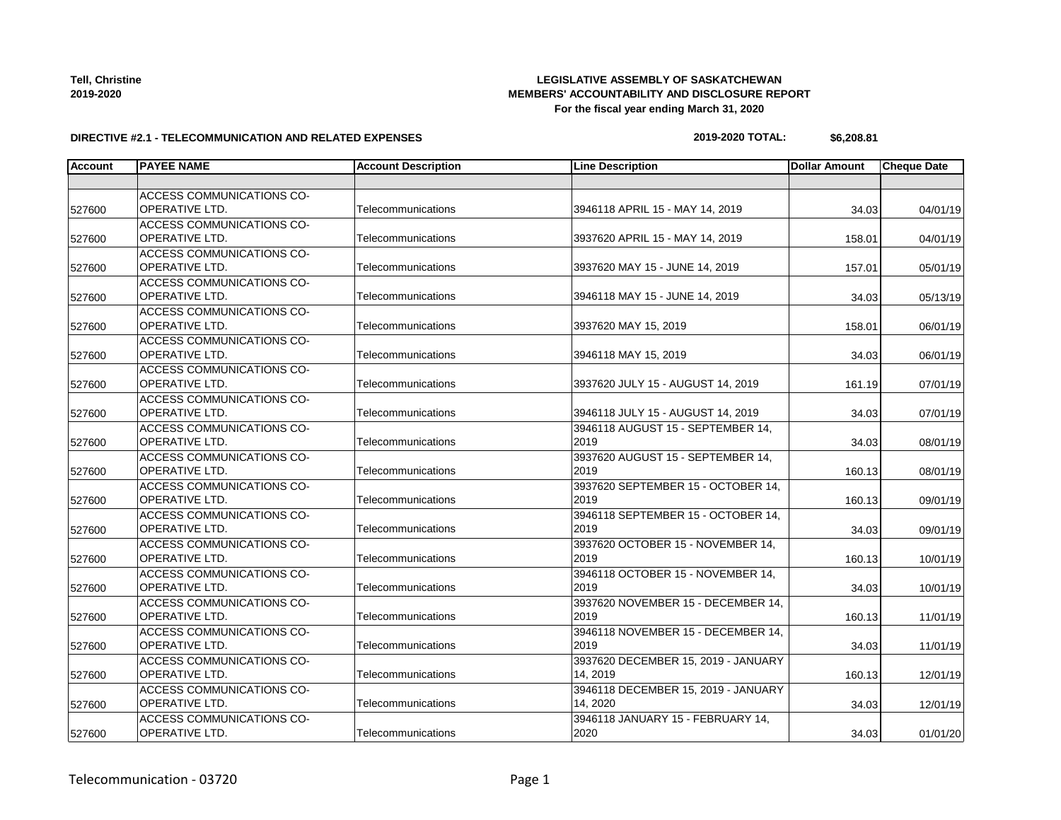527600

| <b>Tell, Christine</b> |
|------------------------|
| 2019-2020              |

#### **LEGISLATIVE ASSEMBLY OF SASKATCHEWAN MEMBERS' ACCOUNTABILITY AND DISCLOSURE REPORT For the fiscal year ending March 31, 2020**

#### **DIRECTIVE #2.1 - TELECOMMUNICATION AND RELATED EXPENSES**

# **2019-2020 TOTAL: \$6,208.81**

| Account | <b>PAYEE NAME</b>                                         | <b>Account Description</b> | <b>Line Description</b>                         | <b>Dollar Amount</b> | <b>Cheque Date</b> |
|---------|-----------------------------------------------------------|----------------------------|-------------------------------------------------|----------------------|--------------------|
|         |                                                           |                            |                                                 |                      |                    |
| 527600  | ACCESS COMMUNICATIONS CO-<br>OPERATIVE LTD.               | Telecommunications         | 3946118 APRIL 15 - MAY 14, 2019                 | 34.03                | 04/01/19           |
| 527600  | ACCESS COMMUNICATIONS CO-<br><b>OPERATIVE LTD.</b>        | Telecommunications         | 3937620 APRIL 15 - MAY 14, 2019                 | 158.01               | 04/01/19           |
| 527600  | ACCESS COMMUNICATIONS CO-<br>OPERATIVE LTD.               | Telecommunications         | 3937620 MAY 15 - JUNE 14, 2019                  | 157.01               | 05/01/19           |
| 527600  | <b>ACCESS COMMUNICATIONS CO-</b><br>OPERATIVE LTD.        | Telecommunications         | 3946118 MAY 15 - JUNE 14, 2019                  | 34.03                | 05/13/19           |
| 527600  | <b>ACCESS COMMUNICATIONS CO-</b><br><b>OPERATIVE LTD.</b> | Telecommunications         | 3937620 MAY 15, 2019                            | 158.01               | 06/01/19           |
| 527600  | ACCESS COMMUNICATIONS CO-<br>OPERATIVE LTD.               | Telecommunications         | 3946118 MAY 15, 2019                            | 34.03                | 06/01/19           |
| 527600  | ACCESS COMMUNICATIONS CO-<br><b>OPERATIVE LTD.</b>        | Telecommunications         | 3937620 JULY 15 - AUGUST 14, 2019               | 161.19               | 07/01/19           |
| 527600  | <b>ACCESS COMMUNICATIONS CO-</b><br>OPERATIVE LTD.        | Telecommunications         | 3946118 JULY 15 - AUGUST 14, 2019               | 34.03                | 07/01/19           |
| 527600  | <b>ACCESS COMMUNICATIONS CO-</b><br>OPERATIVE LTD.        | Telecommunications         | 3946118 AUGUST 15 - SEPTEMBER 14,<br>2019       | 34.03                | 08/01/19           |
| 527600  | ACCESS COMMUNICATIONS CO-<br>OPERATIVE LTD.               | Telecommunications         | 3937620 AUGUST 15 - SEPTEMBER 14,<br>2019       | 160.13               | 08/01/19           |
| 527600  | <b>ACCESS COMMUNICATIONS CO-</b><br><b>OPERATIVE LTD.</b> | Telecommunications         | 3937620 SEPTEMBER 15 - OCTOBER 14.<br>2019      | 160.13               | 09/01/19           |
| 527600  | <b>ACCESS COMMUNICATIONS CO-</b><br>OPERATIVE LTD.        | Telecommunications         | 3946118 SEPTEMBER 15 - OCTOBER 14,<br>2019      | 34.03                | 09/01/19           |
| 527600  | ACCESS COMMUNICATIONS CO-<br>OPERATIVE LTD.               | Telecommunications         | 3937620 OCTOBER 15 - NOVEMBER 14,<br>2019       | 160.13               | 10/01/19           |
| 527600  | ACCESS COMMUNICATIONS CO-<br>OPERATIVE LTD.               | Telecommunications         | 3946118 OCTOBER 15 - NOVEMBER 14,<br>2019       | 34.03                | 10/01/19           |
| 527600  | <b>ACCESS COMMUNICATIONS CO-</b><br>OPERATIVE LTD.        | Telecommunications         | 3937620 NOVEMBER 15 - DECEMBER 14.<br>2019      | 160.13               | 11/01/19           |
| 527600  | ACCESS COMMUNICATIONS CO-<br>OPERATIVE LTD.               | Telecommunications         | 3946118 NOVEMBER 15 - DECEMBER 14,<br>2019      | 34.03                | 11/01/19           |
| 527600  | ACCESS COMMUNICATIONS CO-<br>OPERATIVE LTD.               | Telecommunications         | 3937620 DECEMBER 15, 2019 - JANUARY<br>14, 2019 | 160.13               | 12/01/19           |
| 527600  | <b>ACCESS COMMUNICATIONS CO-</b><br>OPERATIVE LTD.        | Telecommunications         | 3946118 DECEMBER 15, 2019 - JANUARY<br>14, 2020 | 34.03                | 12/01/19           |
| 527600  | <b>ACCESS COMMUNICATIONS CO-</b><br>OPERATIVE LTD.        | Telecommunications         | 3946118 JANUARY 15 - FEBRUARY 14,<br>2020       | 34.03                | 01/01/20           |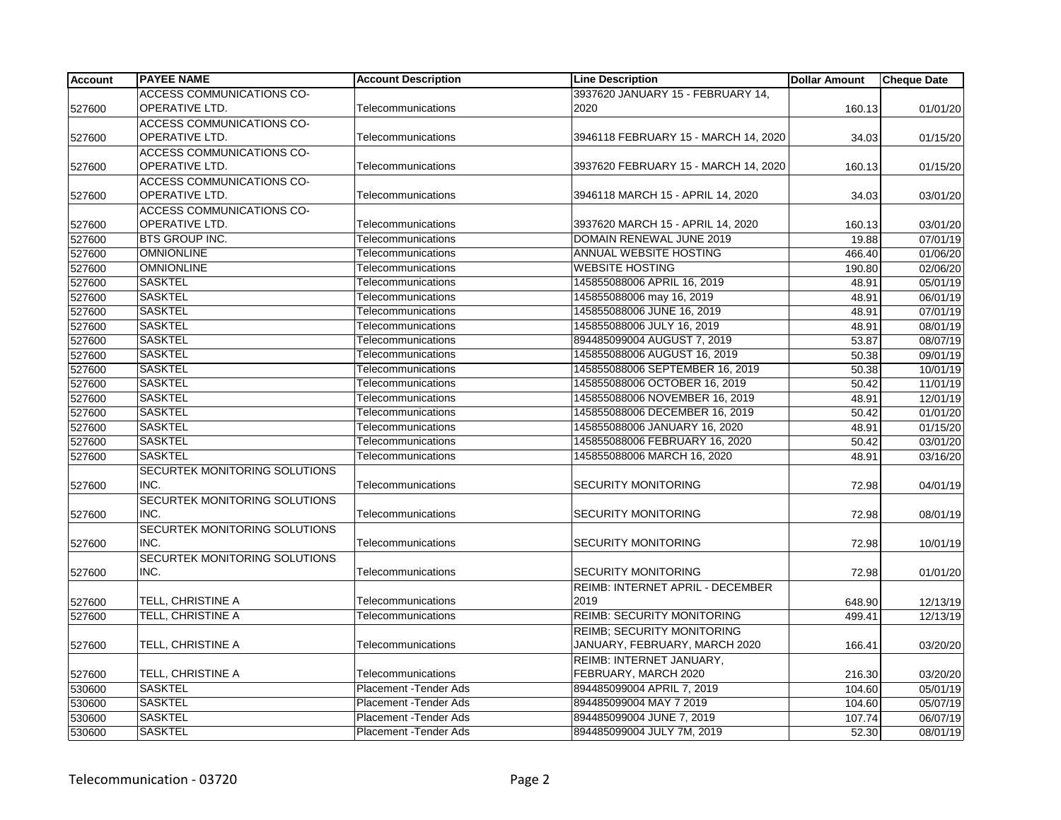| <b>Account</b> | <b>PAYEE NAME</b>                | <b>Account Description</b>    | <b>Line Description</b>                 | <b>Dollar Amount</b> | <b>Cheque Date</b> |
|----------------|----------------------------------|-------------------------------|-----------------------------------------|----------------------|--------------------|
|                | <b>ACCESS COMMUNICATIONS CO-</b> |                               | 3937620 JANUARY 15 - FEBRUARY 14,       |                      |                    |
| 527600         | OPERATIVE LTD.                   | Telecommunications            | 2020                                    | 160.13               | 01/01/20           |
|                | ACCESS COMMUNICATIONS CO-        |                               |                                         |                      |                    |
| 527600         | OPERATIVE LTD.                   | Telecommunications            | 3946118 FEBRUARY 15 - MARCH 14, 2020    | 34.03                | 01/15/20           |
|                | ACCESS COMMUNICATIONS CO-        |                               |                                         |                      |                    |
| 527600         | OPERATIVE LTD.                   | Telecommunications            | 3937620 FEBRUARY 15 - MARCH 14, 2020    | 160.13               | 01/15/20           |
|                | ACCESS COMMUNICATIONS CO-        |                               |                                         |                      |                    |
| 527600         | <b>OPERATIVE LTD.</b>            | Telecommunications            | 3946118 MARCH 15 - APRIL 14, 2020       | 34.03                | 03/01/20           |
|                | ACCESS COMMUNICATIONS CO-        |                               |                                         |                      |                    |
| 527600         | OPERATIVE LTD.                   | Telecommunications            | 3937620 MARCH 15 - APRIL 14, 2020       | 160.13               | 03/01/20           |
| 527600         | <b>BTS GROUP INC.</b>            | Telecommunications            | DOMAIN RENEWAL JUNE 2019                | 19.88                | 07/01/19           |
| 527600         | <b>OMNIONLINE</b>                | Telecommunications            | <b>ANNUAL WEBSITE HOSTING</b>           | 466.40               | 01/06/20           |
| 527600         | <b>OMNIONLINE</b>                | Telecommunications            | <b>WEBSITE HOSTING</b>                  | 190.80               | 02/06/20           |
| 527600         | <b>SASKTEL</b>                   | Telecommunications            | 145855088006 APRIL 16, 2019             | 48.91                | 05/01/19           |
| 527600         | <b>SASKTEL</b>                   | Telecommunications            | 145855088006 may 16, 2019               | 48.91                | 06/01/19           |
| 527600         | <b>SASKTEL</b>                   | Telecommunications            | 145855088006 JUNE 16, 2019              | 48.91                | 07/01/19           |
| 527600         | <b>SASKTEL</b>                   | Telecommunications            | 145855088006 JULY 16, 2019              | 48.91                | 08/01/19           |
| 527600         | <b>SASKTEL</b>                   | Telecommunications            | 894485099004 AUGUST 7, 2019             | 53.87                | 08/07/19           |
| 527600         | <b>SASKTEL</b>                   | Telecommunications            | 145855088006 AUGUST 16, 2019            | 50.38                | 09/01/19           |
| 527600         | <b>SASKTEL</b>                   | Telecommunications            | 145855088006 SEPTEMBER 16, 2019         | 50.38                | 10/01/19           |
| 527600         | <b>SASKTEL</b>                   | Telecommunications            | 145855088006 OCTOBER 16, 2019           | 50.42                | 11/01/19           |
| 527600         | <b>SASKTEL</b>                   | Telecommunications            | 145855088006 NOVEMBER 16, 2019          | 48.91                | 12/01/19           |
| 527600         | <b>SASKTEL</b>                   | Telecommunications            | 145855088006 DECEMBER 16, 2019          | 50.42                | 01/01/20           |
| 527600         | <b>SASKTEL</b>                   | Telecommunications            | 145855088006 JANUARY 16, 2020           | 48.91                | 01/15/20           |
| 527600         | <b>SASKTEL</b>                   | Telecommunications            | 145855088006 FEBRUARY 16, 2020          | 50.42                | 03/01/20           |
| 527600         | <b>SASKTEL</b>                   | Telecommunications            | 145855088006 MARCH 16, 2020             | 48.91                | 03/16/20           |
|                | SECURTEK MONITORING SOLUTIONS    |                               |                                         |                      |                    |
| 527600         | INC.                             | Telecommunications            | <b>SECURITY MONITORING</b>              | 72.98                | 04/01/19           |
|                | SECURTEK MONITORING SOLUTIONS    |                               |                                         |                      |                    |
| 527600         | INC.                             | Telecommunications            | <b>SECURITY MONITORING</b>              | 72.98                | 08/01/19           |
|                | SECURTEK MONITORING SOLUTIONS    |                               |                                         |                      |                    |
| 527600         | INC.                             | Telecommunications            | <b>SECURITY MONITORING</b>              | 72.98                | 10/01/19           |
|                | SECURTEK MONITORING SOLUTIONS    |                               |                                         |                      |                    |
| 527600         | INC.                             | Telecommunications            | <b>SECURITY MONITORING</b>              | 72.98                | 01/01/20           |
|                |                                  |                               | <b>REIMB: INTERNET APRIL - DECEMBER</b> |                      |                    |
| 527600         | TELL, CHRISTINE A                | Telecommunications            | 2019                                    | 648.90               | 12/13/19           |
| 527600         | TELL, CHRISTINE A                | Telecommunications            | <b>REIMB: SECURITY MONITORING</b>       | 499.41               | 12/13/19           |
|                |                                  |                               | <b>REIMB: SECURITY MONITORING</b>       |                      |                    |
| 527600         | TELL, CHRISTINE A                | Telecommunications            | JANUARY, FEBRUARY, MARCH 2020           | 166.41               | 03/20/20           |
|                |                                  |                               | REIMB: INTERNET JANUARY,                |                      |                    |
| 527600         | TELL, CHRISTINE A                | Telecommunications            | FEBRUARY, MARCH 2020                    | 216.30               | 03/20/20           |
| 530600         | <b>SASKTEL</b>                   | Placement - Tender Ads        | 894485099004 APRIL 7, 2019              | 104.60               | 05/01/19           |
| 530600         | <b>SASKTEL</b>                   | Placement - Tender Ads        | 894485099004 MAY 7 2019                 | 104.60               | 05/07/19           |
| 530600         | <b>SASKTEL</b>                   | Placement - Tender Ads        | 894485099004 JUNE 7, 2019               | 107.74               | 06/07/19           |
| 530600         | <b>SASKTEL</b>                   | <b>Placement - Tender Ads</b> | 894485099004 JULY 7M, 2019              | 52.30                | 08/01/19           |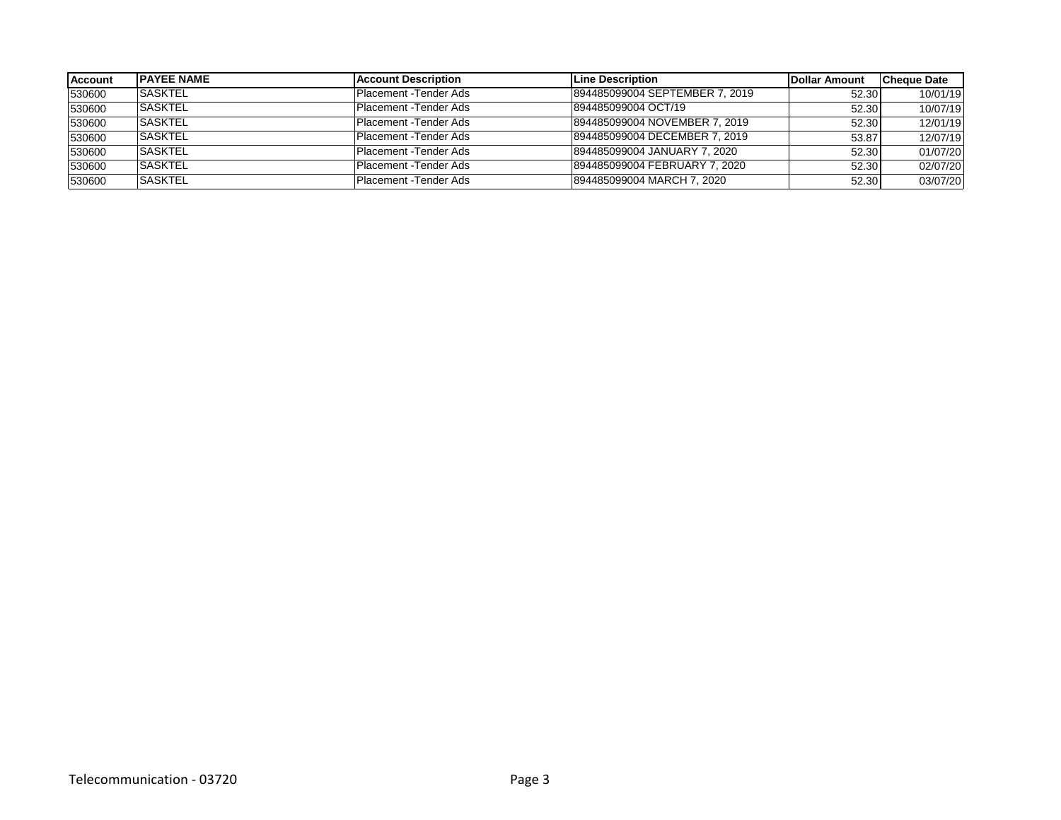| <b>Account</b> | <b>IPAYEE NAME</b> | <b>IAccount Description</b> | Line Description               | Dollar Amount | <b>Cheque Date</b> |
|----------------|--------------------|-----------------------------|--------------------------------|---------------|--------------------|
| 530600         | <b>SASKTEL</b>     | Placement - Tender Ads      | 894485099004 SEPTEMBER 7, 2019 | 52.30         | 10/01/19           |
| 530600         | <b>SASKTEL</b>     | Placement - Tender Ads      | 894485099004 OCT/19            | 52.30         | 10/07/19           |
| 530600         | <b>ISASKTEL</b>    | Placement -Tender Ads       | 894485099004 NOVEMBER 7, 2019  | 52.30         | 12/01/19           |
| 530600         | <b>SASKTEL</b>     | Placement -Tender Ads       | 894485099004 DECEMBER 7, 2019  | 53.87         | 12/07/19           |
| 530600         | <b>ISASKTEL</b>    | Placement - Tender Ads      | 894485099004 JANUARY 7, 2020   | 52.30         | 01/07/20           |
| 530600         | <b>SASKTEL</b>     | Placement -Tender Ads       | 894485099004 FEBRUARY 7, 2020  | 52.30         | 02/07/20           |
| 530600         | <b>ISASKTEL</b>    | Placement - Tender Ads      | 894485099004 MARCH 7, 2020     | 52.30         | 03/07/20           |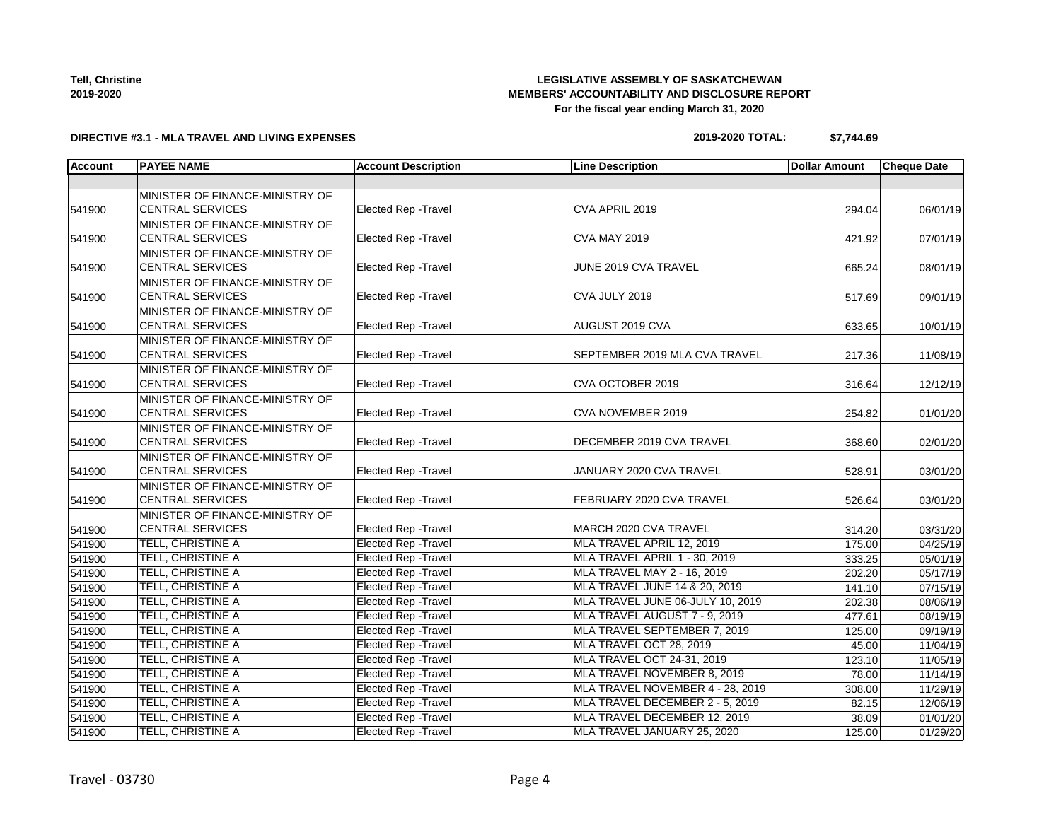**Tell, Christine 2019-2020**

### **LEGISLATIVE ASSEMBLY OF SASKATCHEWAN MEMBERS' ACCOUNTABILITY AND DISCLOSURE REPORT For the fiscal year ending March 31, 2020**

### **DIRECTIVE #3.1 - MLA TRAVEL AND LIVING EXPENSES**

| 2019-2020 TOTAL: | \$7,744.69 |
|------------------|------------|
|                  |            |

| <b>Account</b> | <b>PAYEE NAME</b>                                          | <b>Account Description</b>  | <b>Line Description</b>          | <b>Dollar Amount</b> | <b>Cheque Date</b> |
|----------------|------------------------------------------------------------|-----------------------------|----------------------------------|----------------------|--------------------|
|                |                                                            |                             |                                  |                      |                    |
| 541900         | MINISTER OF FINANCE-MINISTRY OF<br><b>CENTRAL SERVICES</b> | <b>Elected Rep - Travel</b> | CVA APRIL 2019                   | 294.04               | 06/01/19           |
|                | MINISTER OF FINANCE-MINISTRY OF                            |                             |                                  |                      |                    |
| 541900         | <b>CENTRAL SERVICES</b>                                    | <b>Elected Rep - Travel</b> | <b>CVA MAY 2019</b>              | 421.92               | 07/01/19           |
|                | MINISTER OF FINANCE-MINISTRY OF                            |                             |                                  |                      |                    |
| 541900         | <b>CENTRAL SERVICES</b>                                    | <b>Elected Rep - Travel</b> | JUNE 2019 CVA TRAVEL             | 665.24               | 08/01/19           |
|                | MINISTER OF FINANCE-MINISTRY OF                            |                             |                                  |                      |                    |
| 541900         | <b>CENTRAL SERVICES</b>                                    | <b>Elected Rep - Travel</b> | CVA JULY 2019                    | 517.69               | 09/01/19           |
|                | MINISTER OF FINANCE-MINISTRY OF                            |                             |                                  |                      |                    |
| 541900         | <b>CENTRAL SERVICES</b>                                    | <b>Elected Rep - Travel</b> | AUGUST 2019 CVA                  | 633.65               | 10/01/19           |
|                | MINISTER OF FINANCE-MINISTRY OF                            |                             |                                  |                      |                    |
| 541900         | <b>CENTRAL SERVICES</b>                                    | <b>Elected Rep - Travel</b> | SEPTEMBER 2019 MLA CVA TRAVEL    | 217.36               | 11/08/19           |
|                | MINISTER OF FINANCE-MINISTRY OF                            |                             |                                  |                      |                    |
| 541900         | <b>CENTRAL SERVICES</b>                                    | <b>Elected Rep - Travel</b> | CVA OCTOBER 2019                 | 316.64               | 12/12/19           |
|                | MINISTER OF FINANCE-MINISTRY OF                            |                             |                                  |                      |                    |
| 541900         | <b>CENTRAL SERVICES</b>                                    | Elected Rep - Travel        | CVA NOVEMBER 2019                | 254.82               | 01/01/20           |
|                | MINISTER OF FINANCE-MINISTRY OF                            |                             |                                  |                      |                    |
| 541900         | <b>CENTRAL SERVICES</b>                                    | Elected Rep - Travel        | DECEMBER 2019 CVA TRAVEL         | 368.60               | 02/01/20           |
|                | MINISTER OF FINANCE-MINISTRY OF                            |                             |                                  |                      |                    |
| 541900         | <b>CENTRAL SERVICES</b>                                    | Elected Rep - Travel        | JANUARY 2020 CVA TRAVEL          | 528.91               | 03/01/20           |
|                | MINISTER OF FINANCE-MINISTRY OF<br><b>CENTRAL SERVICES</b> | <b>Elected Rep - Travel</b> | FEBRUARY 2020 CVA TRAVEL         |                      |                    |
| 541900         | MINISTER OF FINANCE-MINISTRY OF                            |                             |                                  | 526.64               | 03/01/20           |
| 541900         | <b>CENTRAL SERVICES</b>                                    | <b>Elected Rep - Travel</b> | MARCH 2020 CVA TRAVEL            | 314.20               | 03/31/20           |
| 541900         | TELL, CHRISTINE A                                          | <b>Elected Rep - Travel</b> | MLA TRAVEL APRIL 12, 2019        | 175.00               | 04/25/19           |
| 541900         | TELL, CHRISTINE A                                          | <b>Elected Rep - Travel</b> | MLA TRAVEL APRIL 1 - 30, 2019    | 333.25               | 05/01/19           |
| 541900         | TELL, CHRISTINE A                                          | <b>Elected Rep - Travel</b> | MLA TRAVEL MAY 2 - 16, 2019      | 202.20               | 05/17/19           |
| 541900         | TELL, CHRISTINE A                                          | <b>Elected Rep - Travel</b> | MLA TRAVEL JUNE 14 & 20, 2019    | 141.10               | 07/15/19           |
| 541900         | TELL, CHRISTINE A                                          | <b>Elected Rep - Travel</b> | MLA TRAVEL JUNE 06-JULY 10, 2019 | 202.38               | 08/06/19           |
| 541900         | TELL, CHRISTINE A                                          | Elected Rep - Travel        | MLA TRAVEL AUGUST 7 - 9, 2019    | 477.61               | 08/19/19           |
| 541900         | TELL, CHRISTINE A                                          | <b>Elected Rep - Travel</b> | MLA TRAVEL SEPTEMBER 7, 2019     | 125.00               | 09/19/19           |
| 541900         | TELL, CHRISTINE A                                          | <b>Elected Rep - Travel</b> | MLA TRAVEL OCT 28, 2019          | 45.00                | 11/04/19           |
| 541900         | TELL, CHRISTINE A                                          | Elected Rep - Travel        | MLA TRAVEL OCT 24-31, 2019       | 123.10               | 11/05/19           |
| 541900         | TELL, CHRISTINE A                                          | Elected Rep - Travel        | MLA TRAVEL NOVEMBER 8, 2019      | 78.00                | 11/14/19           |
| 541900         | TELL, CHRISTINE A                                          | <b>Elected Rep - Travel</b> | MLA TRAVEL NOVEMBER 4 - 28, 2019 | 308.00               | 11/29/19           |
| 541900         | TELL, CHRISTINE A                                          | <b>Elected Rep - Travel</b> | MLA TRAVEL DECEMBER 2 - 5, 2019  | 82.15                | 12/06/19           |
| 541900         | TELL, CHRISTINE A                                          | Elected Rep - Travel        | MLA TRAVEL DECEMBER 12, 2019     | 38.09                | 01/01/20           |
| 541900         | TELL, CHRISTINE A                                          | <b>Elected Rep - Travel</b> | MLA TRAVEL JANUARY 25, 2020      | 125.00               | 01/29/20           |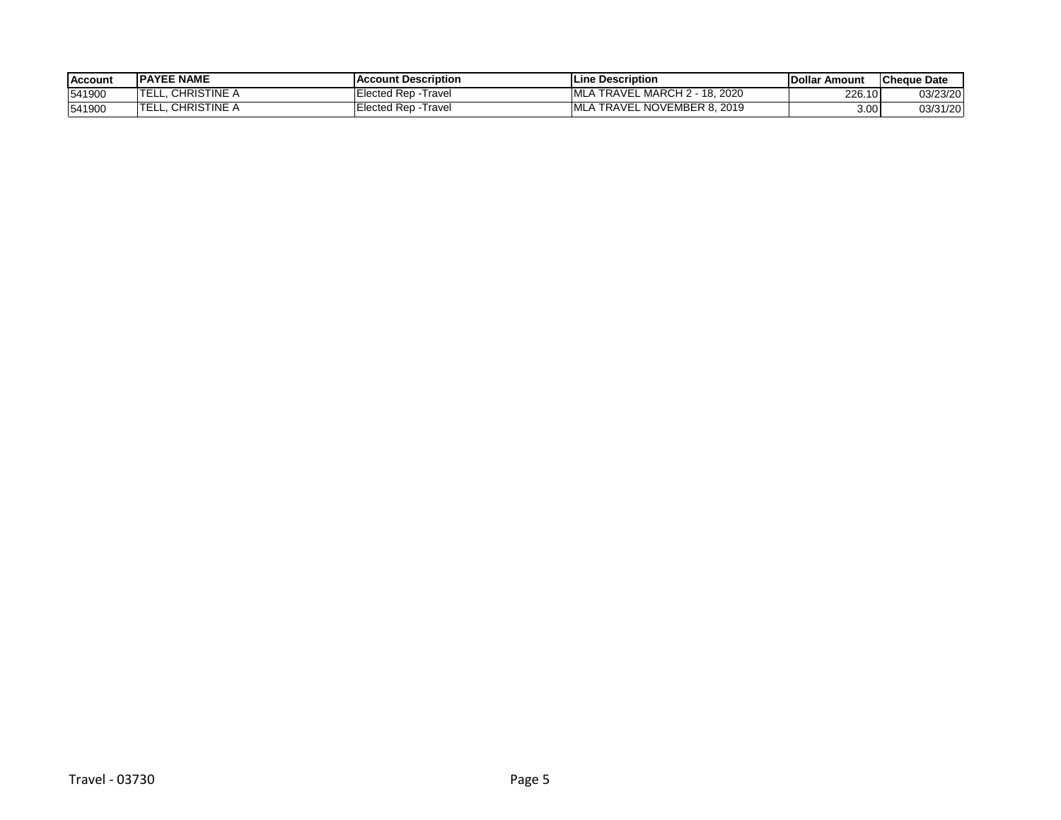| <b>Account</b> | <b>IPAYEE NAME</b>                                 | <b>IAccount Description</b> | lLine Description                                                                        | <b>IDollar</b><br><b>≀ Amount</b> | <b>ICheque Date</b> |
|----------------|----------------------------------------------------|-----------------------------|------------------------------------------------------------------------------------------|-----------------------------------|---------------------|
| 541900         | CHRISTINE A                                        | lected Rep - Travel         | . MARCH 2<br>nonc<br><b>TRAVEL</b><br><b>B</b> A<br>$\overline{A}$<br>ZUZU<br><b>IO.</b> | 226.10                            | 03/23/20            |
| 541900         | CHRISTINE $\overline{\kappa}$<br><b>TEI</b><br>--- | Traver<br>lected Rep:       | . NOVEMBER 8. 2019<br>TRAVEL                                                             | 3.00                              | 03/31/20            |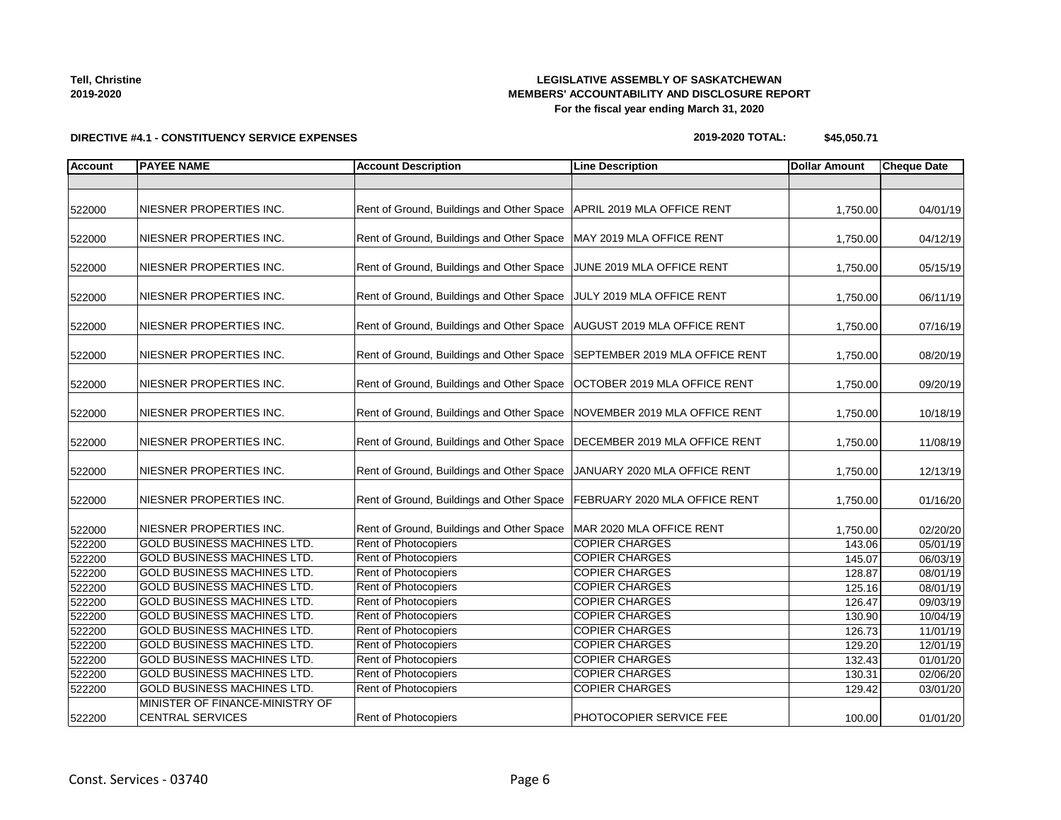**Tell, Christine 2019-2020**

### **LEGISLATIVE ASSEMBLY OF SASKATCHEWAN MEMBERS' ACCOUNTABILITY AND DISCLOSURE REPORT For the fiscal year ending March 31, 2020**

## **DIRECTIVE #4.1 - CONSTITUENCY SERVICE EXPENSES**

| 2019-2020 TOTAL: | \$45,050.71 |
|------------------|-------------|
|------------------|-------------|

| <b>Account</b> | <b>PAYEE NAME</b>                                          | <b>Account Description</b>                                                | <b>Line Description</b>        | <b>Dollar Amount</b> | <b>Cheque Date</b> |
|----------------|------------------------------------------------------------|---------------------------------------------------------------------------|--------------------------------|----------------------|--------------------|
|                |                                                            |                                                                           |                                |                      |                    |
|                |                                                            |                                                                           |                                |                      |                    |
| 522000         | NIESNER PROPERTIES INC.                                    | Rent of Ground, Buildings and Other Space   APRIL 2019 MLA OFFICE RENT    |                                | 1,750.00             | 04/01/19           |
|                |                                                            |                                                                           |                                |                      |                    |
| 522000         | NIESNER PROPERTIES INC.                                    | Rent of Ground, Buildings and Other Space   MAY 2019 MLA OFFICE RENT      |                                | 1,750.00             | 04/12/19           |
| 522000         | NIESNER PROPERTIES INC.                                    | Rent of Ground, Buildings and Other Space JUNE 2019 MLA OFFICE RENT       |                                | 1,750.00             | 05/15/19           |
|                |                                                            |                                                                           |                                |                      |                    |
| 522000         | NIESNER PROPERTIES INC.                                    | Rent of Ground, Buildings and Other Space JULY 2019 MLA OFFICE RENT       |                                | 1,750.00             | 06/11/19           |
| 522000         | NIESNER PROPERTIES INC.                                    | Rent of Ground, Buildings and Other Space   AUGUST 2019 MLA OFFICE RENT   |                                | 1,750.00             | 07/16/19           |
| 522000         | NIESNER PROPERTIES INC.                                    | Rent of Ground, Buildings and Other Space                                 | SEPTEMBER 2019 MLA OFFICE RENT | 1,750.00             | 08/20/19           |
|                |                                                            |                                                                           |                                |                      |                    |
| 522000         | NIESNER PROPERTIES INC.                                    | Rent of Ground, Buildings and Other Space                                 | OCTOBER 2019 MLA OFFICE RENT   | 1,750.00             | 09/20/19           |
| 522000         | NIESNER PROPERTIES INC.                                    | Rent of Ground, Buildings and Other Space                                 | NOVEMBER 2019 MLA OFFICE RENT  | 1,750.00             | 10/18/19           |
|                |                                                            |                                                                           |                                |                      |                    |
| 522000         | NIESNER PROPERTIES INC.                                    | Rent of Ground, Buildings and Other Space                                 | DECEMBER 2019 MLA OFFICE RENT  | 1,750.00             | 11/08/19           |
| 522000         | NIESNER PROPERTIES INC.                                    | Rent of Ground, Buildings and Other Space                                 | JANUARY 2020 MLA OFFICE RENT   | 1,750.00             | 12/13/19           |
| 522000         | NIESNER PROPERTIES INC.                                    | Rent of Ground, Buildings and Other Space   FEBRUARY 2020 MLA OFFICE RENT |                                | 1,750.00             | 01/16/20           |
| 522000         | NIESNER PROPERTIES INC.                                    | Rent of Ground, Buildings and Other Space                                 | MAR 2020 MLA OFFICE RENT       | 1,750.00             | 02/20/20           |
| 522200         | <b>GOLD BUSINESS MACHINES LTD.</b>                         | Rent of Photocopiers                                                      | <b>COPIER CHARGES</b>          | 143.06               | 05/01/19           |
| 522200         | <b>GOLD BUSINESS MACHINES LTD.</b>                         | Rent of Photocopiers                                                      | <b>COPIER CHARGES</b>          | 145.07               | 06/03/19           |
| 522200         | <b>GOLD BUSINESS MACHINES LTD.</b>                         | Rent of Photocopiers                                                      | <b>COPIER CHARGES</b>          | 128.87               | 08/01/19           |
| 522200         | <b>GOLD BUSINESS MACHINES LTD.</b>                         | Rent of Photocopiers                                                      | <b>COPIER CHARGES</b>          | 125.16               | 08/01/19           |
| 522200         | <b>GOLD BUSINESS MACHINES LTD.</b>                         | Rent of Photocopiers                                                      | <b>COPIER CHARGES</b>          | 126.47               | 09/03/19           |
| 522200         | <b>GOLD BUSINESS MACHINES LTD.</b>                         | Rent of Photocopiers                                                      | <b>COPIER CHARGES</b>          | 130.90               | 10/04/19           |
| 522200         | <b>GOLD BUSINESS MACHINES LTD.</b>                         | <b>Rent of Photocopiers</b>                                               | <b>COPIER CHARGES</b>          | 126.73               | 11/01/19           |
| 522200         | <b>GOLD BUSINESS MACHINES LTD.</b>                         | Rent of Photocopiers                                                      | <b>COPIER CHARGES</b>          | 129.20               | 12/01/19           |
| 522200         | <b>GOLD BUSINESS MACHINES LTD.</b>                         | Rent of Photocopiers                                                      | <b>COPIER CHARGES</b>          | 132.43               | 01/01/20           |
| 522200         | <b>GOLD BUSINESS MACHINES LTD.</b>                         | Rent of Photocopiers                                                      | <b>COPIER CHARGES</b>          | 130.31               | 02/06/20           |
| 522200         | <b>GOLD BUSINESS MACHINES LTD.</b>                         | Rent of Photocopiers                                                      | <b>COPIER CHARGES</b>          | 129.42               | 03/01/20           |
| 522200         | MINISTER OF FINANCE-MINISTRY OF<br><b>CENTRAL SERVICES</b> | <b>Rent of Photocopiers</b>                                               | <b>PHOTOCOPIER SERVICE FEE</b> | 100.00               | 01/01/20           |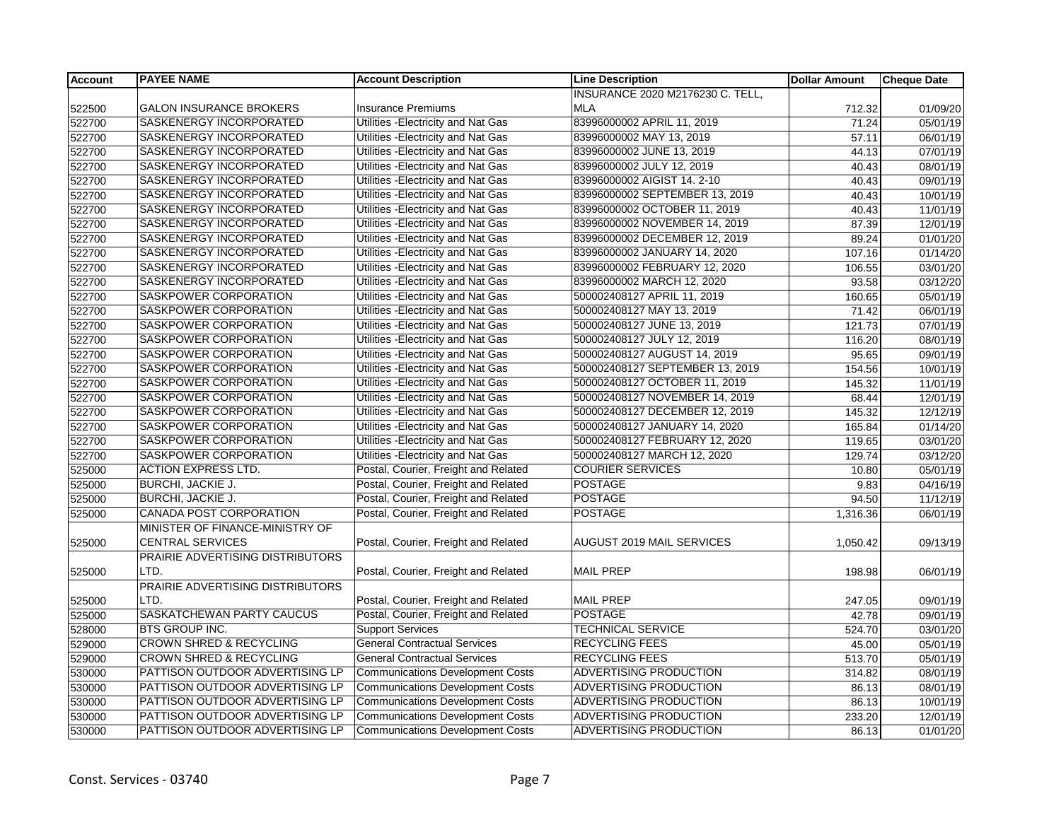| <b>Account</b> | <b>PAYEE NAME</b>                  | <b>Account Description</b>              | <b>Line Description</b>          | <b>Dollar Amount</b> | <b>Cheque Date</b>    |
|----------------|------------------------------------|-----------------------------------------|----------------------------------|----------------------|-----------------------|
|                |                                    |                                         | INSURANCE 2020 M2176230 C. TELL, |                      |                       |
| 522500         | <b>GALON INSURANCE BROKERS</b>     | <b>Insurance Premiums</b>               | <b>MLA</b>                       | 712.32               | 01/09/20              |
| 522700         | SASKENERGY INCORPORATED            | Utilities -Electricity and Nat Gas      | 83996000002 APRIL 11, 2019       | 71.24                | 05/01/19              |
| 522700         | SASKENERGY INCORPORATED            | Utilities - Electricity and Nat Gas     | 83996000002 MAY 13, 2019         | 57.11                | 06/01/19              |
| 522700         | SASKENERGY INCORPORATED            | Utilities - Electricity and Nat Gas     | 83996000002 JUNE 13, 2019        | 44.13                | 07/01/19              |
| 522700         | SASKENERGY INCORPORATED            | Utilities - Electricity and Nat Gas     | 83996000002 JULY 12, 2019        | 40.43                | 08/01/19              |
| 522700         | SASKENERGY INCORPORATED            | Utilities - Electricity and Nat Gas     | 83996000002 AIGIST 14. 2-10      | 40.43                | 09/01/19              |
| 522700         | SASKENERGY INCORPORATED            | Utilities - Electricity and Nat Gas     | 83996000002 SEPTEMBER 13, 2019   | 40.43                | 10/01/19              |
| 522700         | SASKENERGY INCORPORATED            | Utilities - Electricity and Nat Gas     | 83996000002 OCTOBER 11, 2019     | 40.43                | 11/01/19              |
| 522700         | SASKENERGY INCORPORATED            | Utilities - Electricity and Nat Gas     | 83996000002 NOVEMBER 14, 2019    | 87.39                | 12/01/19              |
| 522700         | SASKENERGY INCORPORATED            | Utilities - Electricity and Nat Gas     | 83996000002 DECEMBER 12, 2019    | 89.24                | $\overline{01/01/20}$ |
| 522700         | SASKENERGY INCORPORATED            | Utilities - Electricity and Nat Gas     | 83996000002 JANUARY 14, 2020     | 107.16               | 01/14/20              |
| 522700         | SASKENERGY INCORPORATED            | Utilities - Electricity and Nat Gas     | 83996000002 FEBRUARY 12, 2020    | 106.55               | 03/01/20              |
| 522700         | SASKENERGY INCORPORATED            | Utilities - Electricity and Nat Gas     | 83996000002 MARCH 12, 2020       | 93.58                | 03/12/20              |
| 522700         | SASKPOWER CORPORATION              | Utilities - Electricity and Nat Gas     | 500002408127 APRIL 11, 2019      | 160.65               | 05/01/19              |
| 522700         | SASKPOWER CORPORATION              | Utilities - Electricity and Nat Gas     | 500002408127 MAY 13, 2019        | 71.42                | 06/01/19              |
| 522700         | SASKPOWER CORPORATION              | Utilities - Electricity and Nat Gas     | 500002408127 JUNE 13, 2019       | 121.73               | 07/01/19              |
| 522700         | SASKPOWER CORPORATION              | Utilities - Electricity and Nat Gas     | 500002408127 JULY 12, 2019       | 116.20               | 08/01/19              |
| 522700         | SASKPOWER CORPORATION              | Utilities - Electricity and Nat Gas     | 500002408127 AUGUST 14, 2019     | 95.65                | 09/01/19              |
| 522700         | SASKPOWER CORPORATION              | Utilities - Electricity and Nat Gas     | 500002408127 SEPTEMBER 13, 2019  | 154.56               | 10/01/19              |
| 522700         | SASKPOWER CORPORATION              | Utilities - Electricity and Nat Gas     | 500002408127 OCTOBER 11, 2019    | 145.32               | 11/01/19              |
| 522700         | SASKPOWER CORPORATION              | Utilities - Electricity and Nat Gas     | 500002408127 NOVEMBER 14, 2019   | 68.44                | 12/01/19              |
| 522700         | SASKPOWER CORPORATION              | Utilities - Electricity and Nat Gas     | 500002408127 DECEMBER 12, 2019   | 145.32               | 12/12/19              |
| 522700         | SASKPOWER CORPORATION              | Utilities - Electricity and Nat Gas     | 500002408127 JANUARY 14, 2020    | 165.84               | 01/14/20              |
| 522700         | SASKPOWER CORPORATION              | Utilities - Electricity and Nat Gas     | 500002408127 FEBRUARY 12, 2020   | 119.65               | 03/01/20              |
| 522700         | SASKPOWER CORPORATION              | Utilities - Electricity and Nat Gas     | 500002408127 MARCH 12, 2020      | 129.74               | 03/12/20              |
| 525000         | <b>ACTION EXPRESS LTD.</b>         | Postal, Courier, Freight and Related    | <b>COURIER SERVICES</b>          | 10.80                | 05/01/19              |
| 525000         | <b>BURCHI, JACKIE J.</b>           | Postal, Courier, Freight and Related    | <b>POSTAGE</b>                   | 9.83                 | 04/16/19              |
| 525000         | <b>BURCHI, JACKIE J.</b>           | Postal, Courier, Freight and Related    | <b>POSTAGE</b>                   | 94.50                | 11/12/19              |
| 525000         | CANADA POST CORPORATION            | Postal, Courier, Freight and Related    | <b>POSTAGE</b>                   | 1,316.36             | 06/01/19              |
|                | MINISTER OF FINANCE-MINISTRY OF    |                                         |                                  |                      |                       |
| 525000         | <b>CENTRAL SERVICES</b>            | Postal, Courier, Freight and Related    | AUGUST 2019 MAIL SERVICES        | 1,050.42             | 09/13/19              |
|                | PRAIRIE ADVERTISING DISTRIBUTORS   |                                         |                                  |                      |                       |
| 525000         | LTD.                               | Postal, Courier, Freight and Related    | <b>MAIL PREP</b>                 | 198.98               | 06/01/19              |
|                | PRAIRIE ADVERTISING DISTRIBUTORS   |                                         |                                  |                      |                       |
| 525000         | LTD.                               | Postal, Courier, Freight and Related    | <b>MAIL PREP</b>                 | 247.05               | 09/01/19              |
| 525000         | SASKATCHEWAN PARTY CAUCUS          | Postal, Courier, Freight and Related    | <b>POSTAGE</b>                   | 42.78                | 09/01/19              |
| 528000         | <b>BTS GROUP INC.</b>              | <b>Support Services</b>                 | <b>TECHNICAL SERVICE</b>         | 524.70               | 03/01/20              |
| 529000         | <b>CROWN SHRED &amp; RECYCLING</b> | <b>General Contractual Services</b>     | <b>RECYCLING FEES</b>            | 45.00                | 05/01/19              |
| 529000         | <b>CROWN SHRED &amp; RECYCLING</b> | <b>General Contractual Services</b>     | <b>RECYCLING FEES</b>            | 513.70               | 05/01/19              |
| 530000         | PATTISON OUTDOOR ADVERTISING LP    | <b>Communications Development Costs</b> | ADVERTISING PRODUCTION           | 314.82               | 08/01/19              |
| 530000         | PATTISON OUTDOOR ADVERTISING LP    | <b>Communications Development Costs</b> | ADVERTISING PRODUCTION           | 86.13                | 08/01/19              |
| 530000         | PATTISON OUTDOOR ADVERTISING LP    | <b>Communications Development Costs</b> | ADVERTISING PRODUCTION           | 86.13                | 10/01/19              |
| 530000         | PATTISON OUTDOOR ADVERTISING LP    | <b>Communications Development Costs</b> | ADVERTISING PRODUCTION           | 233.20               | 12/01/19              |
| 530000         | PATTISON OUTDOOR ADVERTISING LP    | <b>Communications Development Costs</b> | ADVERTISING PRODUCTION           | 86.13                | 01/01/20              |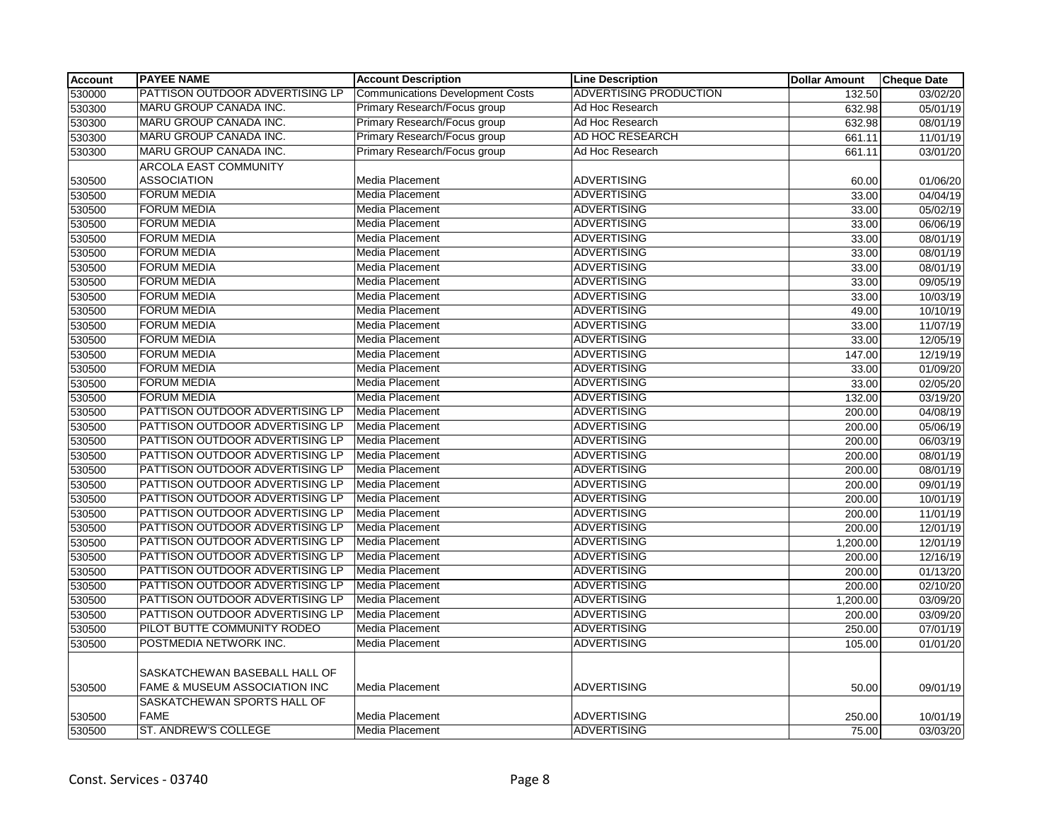| <b>Account</b> | <b>PAYEE NAME</b>                                              | <b>Account Description</b>       | <b>Line Description</b>       | <b>Dollar Amount</b> | <b>Cheque Date</b> |
|----------------|----------------------------------------------------------------|----------------------------------|-------------------------------|----------------------|--------------------|
| 530000         | PATTISON OUTDOOR ADVERTISING LP                                | Communications Development Costs | <b>ADVERTISING PRODUCTION</b> | 132.50               | 03/02/20           |
| 530300         | MARU GROUP CANADA INC.                                         | Primary Research/Focus group     | Ad Hoc Research               | 632.98               | 05/01/19           |
| 530300         | MARU GROUP CANADA INC.                                         | Primary Research/Focus group     | Ad Hoc Research               | 632.98               | 08/01/19           |
| 530300         | MARU GROUP CANADA INC.                                         | Primary Research/Focus group     | AD HOC RESEARCH               | 661.11               | 11/01/19           |
| 530300         | MARU GROUP CANADA INC.                                         | Primary Research/Focus group     | Ad Hoc Research               | 661.11               | 03/01/20           |
|                | <b>ARCOLA EAST COMMUNITY</b>                                   |                                  |                               |                      |                    |
| 530500         | <b>ASSOCIATION</b>                                             | Media Placement                  | <b>ADVERTISING</b>            | 60.00                | 01/06/20           |
| 530500         | <b>FORUM MEDIA</b>                                             | Media Placement                  | <b>ADVERTISING</b>            | 33.00                | 04/04/19           |
| 530500         | <b>FORUM MEDIA</b>                                             | <b>Media Placement</b>           | <b>ADVERTISING</b>            | 33.00                | 05/02/19           |
| 530500         | <b>FORUM MEDIA</b>                                             | <b>Media Placement</b>           | <b>ADVERTISING</b>            | 33.00                | 06/06/19           |
| 530500         | <b>FORUM MEDIA</b>                                             | Media Placement                  | <b>ADVERTISING</b>            | 33.00                | 08/01/19           |
| 530500         | <b>FORUM MEDIA</b>                                             | Media Placement                  | <b>ADVERTISING</b>            | 33.00                | 08/01/19           |
| 530500         | <b>FORUM MEDIA</b>                                             | Media Placement                  | ADVERTISING                   | 33.00                | 08/01/19           |
| 530500         | <b>FORUM MEDIA</b>                                             | <b>Media Placement</b>           | <b>ADVERTISING</b>            | 33.00                | 09/05/19           |
| 530500         | <b>FORUM MEDIA</b>                                             | <b>Media Placement</b>           | <b>ADVERTISING</b>            | 33.00                | 10/03/19           |
| 530500         | <b>FORUM MEDIA</b>                                             | <b>Media Placement</b>           | <b>ADVERTISING</b>            | 49.00                | 10/10/19           |
| 530500         | <b>FORUM MEDIA</b>                                             | Media Placement                  | ADVERTISING                   | 33.00                | 11/07/19           |
| 530500         | <b>FORUM MEDIA</b>                                             | Media Placement                  | <b>ADVERTISING</b>            | 33.00                | 12/05/19           |
| 530500         | <b>FORUM MEDIA</b>                                             | Media Placement                  | <b>ADVERTISING</b>            | 147.00               | 12/19/19           |
| 530500         | <b>FORUM MEDIA</b>                                             | Media Placement                  | <b>ADVERTISING</b>            | 33.00                | 01/09/20           |
| 530500         | <b>FORUM MEDIA</b>                                             | Media Placement                  | <b>ADVERTISING</b>            | 33.00                | 02/05/20           |
| 530500         | <b>FORUM MEDIA</b>                                             | Media Placement                  | <b>ADVERTISING</b>            | 132.00               | 03/19/20           |
| 530500         | PATTISON OUTDOOR ADVERTISING LP                                | Media Placement                  | <b>ADVERTISING</b>            | 200.00               | 04/08/19           |
| 530500         | PATTISON OUTDOOR ADVERTISING LP                                | Media Placement                  | <b>ADVERTISING</b>            | 200.00               | 05/06/19           |
| 530500         | PATTISON OUTDOOR ADVERTISING LP                                | Media Placement                  | <b>ADVERTISING</b>            | 200.00               | 06/03/19           |
| 530500         | PATTISON OUTDOOR ADVERTISING LP                                | Media Placement                  | <b>ADVERTISING</b>            | 200.00               | 08/01/19           |
| 530500         | PATTISON OUTDOOR ADVERTISING LP                                | Media Placement                  | <b>ADVERTISING</b>            | 200.00               | 08/01/19           |
| 530500         | PATTISON OUTDOOR ADVERTISING LP                                | Media Placement                  | <b>ADVERTISING</b>            | 200.00               | 09/01/19           |
| 530500         | PATTISON OUTDOOR ADVERTISING LP                                | Media Placement                  | <b>ADVERTISING</b>            | 200.00               | 10/01/19           |
| 530500         | PATTISON OUTDOOR ADVERTISING LP                                | Media Placement                  | ADVERTISING                   | 200.00               | 11/01/19           |
| 530500         | PATTISON OUTDOOR ADVERTISING LP                                | Media Placement                  | <b>ADVERTISING</b>            | 200.00               | 12/01/19           |
| 530500         | PATTISON OUTDOOR ADVERTISING LP                                | Media Placement                  | <b>ADVERTISING</b>            | 1,200.00             | 12/01/19           |
| 530500         | PATTISON OUTDOOR ADVERTISING LP                                | Media Placement                  | <b>ADVERTISING</b>            | 200.00               | 12/16/19           |
| 530500         | PATTISON OUTDOOR ADVERTISING LP                                | Media Placement                  | <b>ADVERTISING</b>            | 200.00               | 01/13/20           |
| 530500         | PATTISON OUTDOOR ADVERTISING LP                                | Media Placement                  | <b>ADVERTISING</b>            | 200.00               | 02/10/20           |
| 530500         | PATTISON OUTDOOR ADVERTISING LP                                | Media Placement                  | <b>ADVERTISING</b>            | 1,200.00             | 03/09/20           |
| 530500         | PATTISON OUTDOOR ADVERTISING LP                                | Media Placement                  | <b>ADVERTISING</b>            | 200.00               | 03/09/20           |
| 530500         | PILOT BUTTE COMMUNITY RODEO                                    | <b>Media Placement</b>           | ADVERTISING                   | 250.00               | 07/01/19           |
| 530500         | POSTMEDIA NETWORK INC.                                         | Media Placement                  | <b>ADVERTISING</b>            | 105.00               | 01/01/20           |
| 530500         | SASKATCHEWAN BASEBALL HALL OF<br>FAME & MUSEUM ASSOCIATION INC | <b>Media Placement</b>           | <b>ADVERTISING</b>            | 50.00                | 09/01/19           |
|                | SASKATCHEWAN SPORTS HALL OF                                    |                                  |                               |                      |                    |
| 530500         | <b>FAME</b>                                                    | <b>Media Placement</b>           | <b>ADVERTISING</b>            | 250.00               | 10/01/19           |
| 530500         | ST. ANDREW'S COLLEGE                                           | <b>Media Placement</b>           | ADVERTISING                   | 75.00                | 03/03/20           |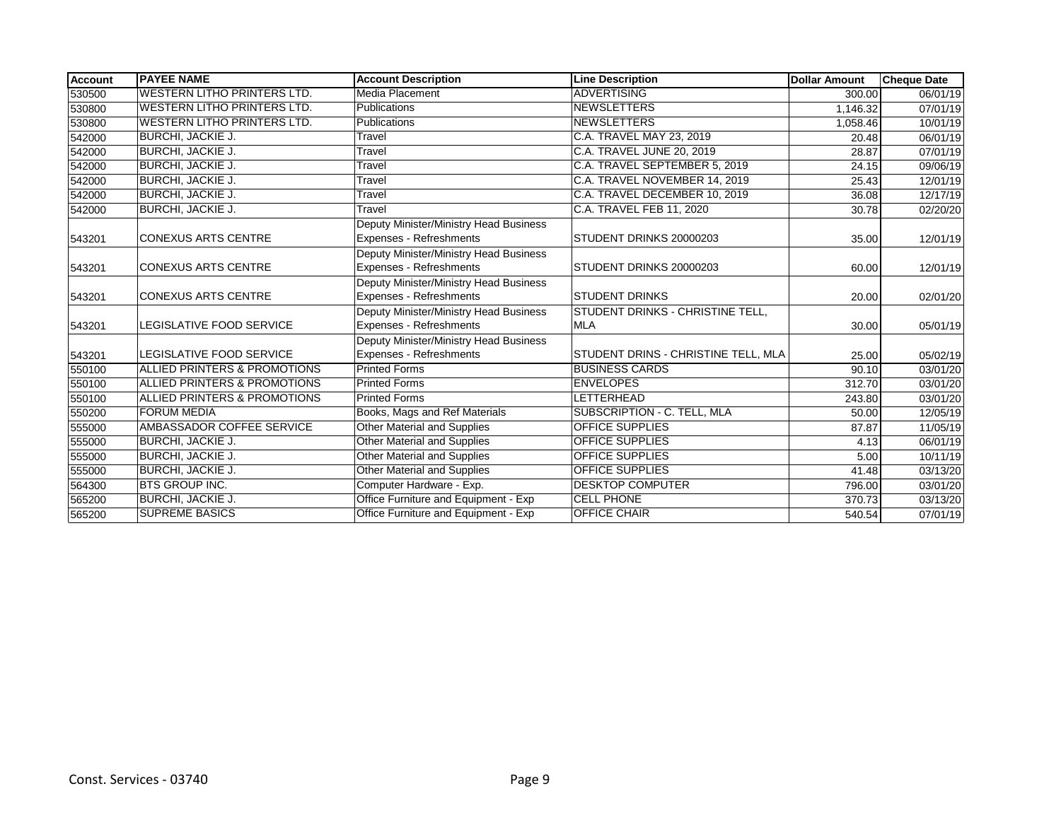| <b>Account</b> | <b>PAYEE NAME</b>                       | <b>Account Description</b>                                               | <b>Line Description</b>                        | <b>Dollar Amount</b> | <b>Cheque Date</b> |
|----------------|-----------------------------------------|--------------------------------------------------------------------------|------------------------------------------------|----------------------|--------------------|
| 530500         | <b>WESTERN LITHO PRINTERS LTD.</b>      | Media Placement                                                          | <b>ADVERTISING</b>                             | 300.00               | 06/01/19           |
| 530800         | <b>WESTERN LITHO PRINTERS LTD.</b>      | <b>Publications</b>                                                      | <b>NEWSLETTERS</b>                             | 1.146.32             | 07/01/19           |
| 530800         | <b>WESTERN LITHO PRINTERS LTD.</b>      | <b>Publications</b>                                                      | <b>NEWSLETTERS</b>                             | 1,058.46             | 10/01/19           |
| 542000         | BURCHI, JACKIE J.                       | Travel                                                                   | C.A. TRAVEL MAY 23, 2019                       | 20.48                | 06/01/19           |
| 542000         | <b>BURCHI, JACKIE J.</b>                | Travel                                                                   | C.A. TRAVEL JUNE 20, 2019                      | 28.87                | 07/01/19           |
| 542000         | <b>BURCHI, JACKIE J.</b>                | Travel                                                                   | C.A. TRAVEL SEPTEMBER 5, 2019                  | 24.15                | 09/06/19           |
| 542000         | BURCHI, JACKIE J.                       | Travel                                                                   | C.A. TRAVEL NOVEMBER 14, 2019                  | 25.43                | 12/01/19           |
| 542000         | <b>BURCHI, JACKIE J.</b>                | Travel                                                                   | C.A. TRAVEL DECEMBER 10, 2019                  | 36.08                | 12/17/19           |
| 542000         | BURCHI, JACKIE J.                       | Travel                                                                   | C.A. TRAVEL FEB 11, 2020                       | 30.78                | 02/20/20           |
| 543201         | <b>CONEXUS ARTS CENTRE</b>              | Deputy Minister/Ministry Head Business<br>Expenses - Refreshments        | STUDENT DRINKS 20000203                        | 35.00                | 12/01/19           |
| 543201         | <b>CONEXUS ARTS CENTRE</b>              | Deputy Minister/Ministry Head Business<br>Expenses - Refreshments        | STUDENT DRINKS 20000203                        | 60.00                | 12/01/19           |
| 543201         | <b>CONEXUS ARTS CENTRE</b>              | Deputy Minister/Ministry Head Business<br>Expenses - Refreshments        | <b>STUDENT DRINKS</b>                          | 20.00                | 02/01/20           |
| 543201         | LEGISLATIVE FOOD SERVICE                | Deputy Minister/Ministry Head Business<br>Expenses - Refreshments        | STUDENT DRINKS - CHRISTINE TELL,<br><b>MLA</b> | 30.00                | 05/01/19           |
| 543201         | LEGISLATIVE FOOD SERVICE                | Deputy Minister/Ministry Head Business<br><b>Expenses - Refreshments</b> | STUDENT DRINS - CHRISTINE TELL, MLA            | 25.00                | 05/02/19           |
| 550100         | ALLIED PRINTERS & PROMOTIONS            | <b>Printed Forms</b>                                                     | <b>BUSINESS CARDS</b>                          | 90.10                | 03/01/20           |
| 550100         | <b>ALLIED PRINTERS &amp; PROMOTIONS</b> | <b>Printed Forms</b>                                                     | <b>ENVELOPES</b>                               | 312.70               | 03/01/20           |
| 550100         | <b>ALLIED PRINTERS &amp; PROMOTIONS</b> | <b>Printed Forms</b>                                                     | LETTERHEAD                                     | 243.80               | 03/01/20           |
| 550200         | <b>FORUM MEDIA</b>                      | Books, Mags and Ref Materials                                            | SUBSCRIPTION - C. TELL, MLA                    | 50.00                | 12/05/19           |
| 555000         | AMBASSADOR COFFEE SERVICE               | <b>Other Material and Supplies</b>                                       | <b>OFFICE SUPPLIES</b>                         | 87.87                | 11/05/19           |
| 555000         | <b>BURCHI, JACKIE J.</b>                | Other Material and Supplies                                              | <b>OFFICE SUPPLIES</b>                         | 4.13                 | 06/01/19           |
| 555000         | <b>BURCHI, JACKIE J.</b>                | Other Material and Supplies                                              | <b>OFFICE SUPPLIES</b>                         | 5.00                 | 10/11/19           |
| 555000         | <b>BURCHI, JACKIE J.</b>                | Other Material and Supplies                                              | <b>OFFICE SUPPLIES</b>                         | 41.48                | 03/13/20           |
| 564300         | <b>BTS GROUP INC.</b>                   | Computer Hardware - Exp.                                                 | <b>DESKTOP COMPUTER</b>                        | 796.00               | 03/01/20           |
| 565200         | <b>BURCHI, JACKIE J.</b>                | Office Furniture and Equipment - Exp                                     | <b>CELL PHONE</b>                              | 370.73               | 03/13/20           |
| 565200         | <b>SUPREME BASICS</b>                   | Office Furniture and Equipment - Exp                                     | OFFICE CHAIR                                   | 540.54               | 07/01/19           |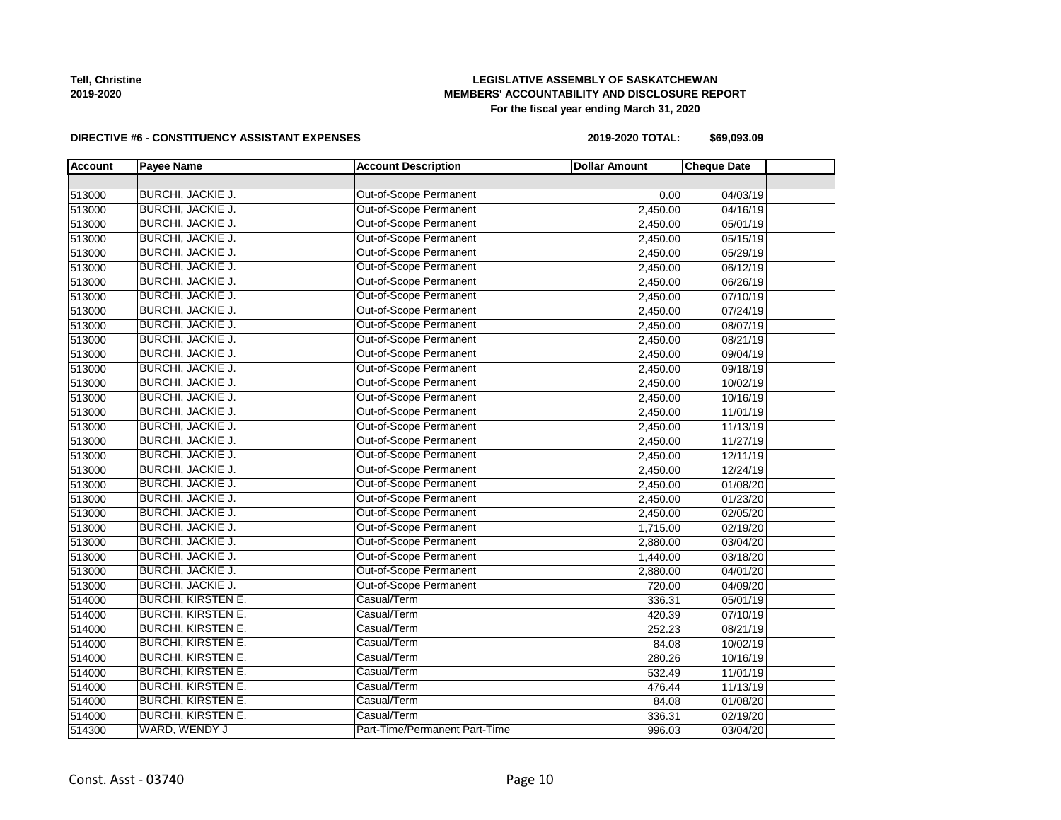

#### **LEGISLATIVE ASSEMBLY OF SASKATCHEWAN MEMBERS' ACCOUNTABILITY AND DISCLOSURE REPORT For the fiscal year ending March 31, 2020**

#### **DIRECTIVE #6 - CONSTITUENCY ASSISTANT EXPENSES**

**2019-2020 TOTAL: \$69,093.09**

| <b>Account</b> | <b>Payee Name</b>         | <b>Account Description</b>    | <b>Dollar Amount</b> | <b>Cheque Date</b> |  |
|----------------|---------------------------|-------------------------------|----------------------|--------------------|--|
|                |                           |                               |                      |                    |  |
| 513000         | <b>BURCHI, JACKIE J.</b>  | <b>Out-of-Scope Permanent</b> | 0.00                 | 04/03/19           |  |
| 513000         | <b>BURCHI, JACKIE J.</b>  | Out-of-Scope Permanent        | 2,450.00             | 04/16/19           |  |
| 513000         | <b>BURCHI, JACKIE J.</b>  | Out-of-Scope Permanent        | 2,450.00             | 05/01/19           |  |
| 513000         | <b>BURCHI, JACKIE J.</b>  | Out-of-Scope Permanent        | 2,450.00             | 05/15/19           |  |
| 513000         | <b>BURCHI, JACKIE J.</b>  | Out-of-Scope Permanent        | 2,450.00             | 05/29/19           |  |
| 513000         | BURCHI, JACKIE J.         | Out-of-Scope Permanent        | 2,450.00             | 06/12/19           |  |
| 513000         | BURCHI, JACKIE J.         | Out-of-Scope Permanent        | 2,450.00             | 06/26/19           |  |
| 513000         | <b>BURCHI, JACKIE J.</b>  | Out-of-Scope Permanent        | 2,450.00             | 07/10/19           |  |
| 513000         | <b>BURCHI, JACKIE J.</b>  | Out-of-Scope Permanent        | 2,450.00             | 07/24/19           |  |
| 513000         | <b>BURCHI, JACKIE J.</b>  | Out-of-Scope Permanent        | 2,450.00             | 08/07/19           |  |
| 513000         | BURCHI, JACKIE J.         | Out-of-Scope Permanent        | 2,450.00             | 08/21/19           |  |
| 513000         | BURCHI, JACKIE J.         | Out-of-Scope Permanent        | 2,450.00             | 09/04/19           |  |
| 513000         | <b>BURCHI, JACKIE J.</b>  | Out-of-Scope Permanent        | 2,450.00             | 09/18/19           |  |
| 513000         | <b>BURCHI, JACKIE J.</b>  | Out-of-Scope Permanent        | 2,450.00             | 10/02/19           |  |
| 513000         | BURCHI, JACKIE J.         | Out-of-Scope Permanent        | 2,450.00             | 10/16/19           |  |
| 513000         | BURCHI, JACKIE J.         | Out-of-Scope Permanent        | 2,450.00             | 11/01/19           |  |
| 513000         | <b>BURCHI, JACKIE J.</b>  | Out-of-Scope Permanent        | 2,450.00             | 11/13/19           |  |
| 513000         | <b>BURCHI, JACKIE J.</b>  | Out-of-Scope Permanent        | 2,450.00             | 11/27/19           |  |
| 513000         | BURCHI, JACKIE J.         | Out-of-Scope Permanent        | 2,450.00             | 12/11/19           |  |
| 513000         | BURCHI, JACKIE J.         | Out-of-Scope Permanent        | 2,450.00             | 12/24/19           |  |
| 513000         | <b>BURCHI, JACKIE J.</b>  | Out-of-Scope Permanent        | 2,450.00             | 01/08/20           |  |
| 513000         | BURCHI, JACKIE J.         | Out-of-Scope Permanent        | 2,450.00             | 01/23/20           |  |
| 513000         | BURCHI, JACKIE J.         | Out-of-Scope Permanent        | 2,450.00             | 02/05/20           |  |
| 513000         | <b>BURCHI, JACKIE J.</b>  | Out-of-Scope Permanent        | 1,715.00             | 02/19/20           |  |
| 513000         | <b>BURCHI, JACKIE J.</b>  | Out-of-Scope Permanent        | 2,880.00             | 03/04/20           |  |
| 513000         | <b>BURCHI, JACKIE J.</b>  | Out-of-Scope Permanent        | 1,440.00             | 03/18/20           |  |
| 513000         | <b>BURCHI, JACKIE J.</b>  | Out-of-Scope Permanent        | 2,880.00             | 04/01/20           |  |
| 513000         | BURCHI, JACKIE J.         | Out-of-Scope Permanent        | 720.00               | 04/09/20           |  |
| 514000         | <b>BURCHI, KIRSTEN E.</b> | Casual/Term                   | 336.31               | 05/01/19           |  |
| 514000         | <b>BURCHI, KIRSTEN E.</b> | Casual/Term                   | 420.39               | 07/10/19           |  |
| 514000         | <b>BURCHI, KIRSTEN E.</b> | Casual/Term                   | 252.23               | 08/21/19           |  |
| 514000         | <b>BURCHI, KIRSTEN E.</b> | Casual/Term                   | 84.08                | 10/02/19           |  |
| 514000         | <b>BURCHI, KIRSTEN E.</b> | Casual/Term                   | 280.26               | 10/16/19           |  |
| 514000         | <b>BURCHI, KIRSTEN E.</b> | Casual/Term                   | 532.49               | 11/01/19           |  |
| 514000         | <b>BURCHI, KIRSTEN E.</b> | Casual/Term                   | 476.44               | 11/13/19           |  |
| 514000         | <b>BURCHI, KIRSTEN E.</b> | Casual/Term                   | 84.08                | 01/08/20           |  |
| 514000         | <b>BURCHI, KIRSTEN E.</b> | Casual/Term                   | 336.31               | 02/19/20           |  |
| 514300         | WARD, WENDY J             | Part-Time/Permanent Part-Time | 996.03               | 03/04/20           |  |